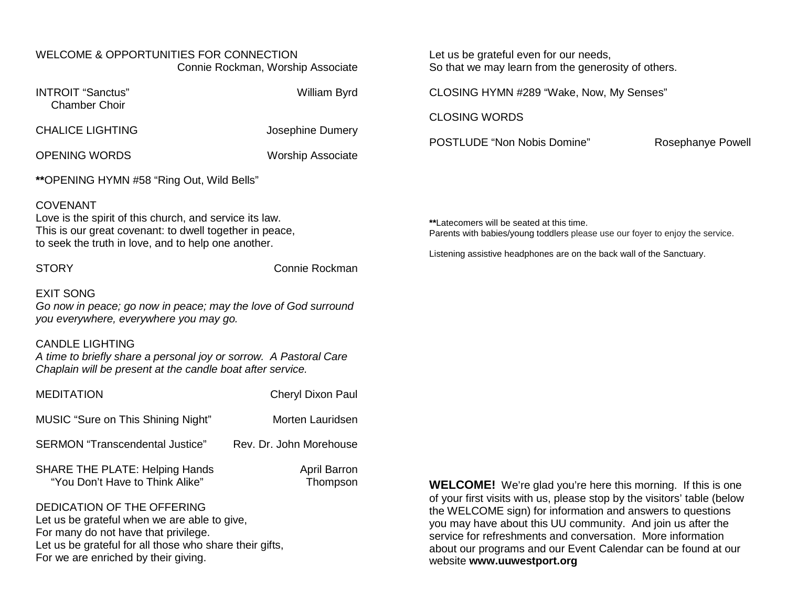## WELCOME & OPPORTUNITIES FOR CONNECTION Connie Rockman, Worship Associate

| <b>INTROIT "Sanctus"</b><br><b>Chamber Choir</b>                                                                                                                                                                      | William Byrd             | CLOSING HYMN #289 "Wake, Now, My Senses"<br><b>CLOSING WORDS</b>                                                                                                                                                                                                                                                                                                   |                   |
|-----------------------------------------------------------------------------------------------------------------------------------------------------------------------------------------------------------------------|--------------------------|--------------------------------------------------------------------------------------------------------------------------------------------------------------------------------------------------------------------------------------------------------------------------------------------------------------------------------------------------------------------|-------------------|
| <b>CHALICE LIGHTING</b>                                                                                                                                                                                               | Josephine Dumery         |                                                                                                                                                                                                                                                                                                                                                                    |                   |
|                                                                                                                                                                                                                       |                          | POSTLUDE "Non Nobis Domine"                                                                                                                                                                                                                                                                                                                                        | Rosephanye Powell |
| <b>OPENING WORDS</b>                                                                                                                                                                                                  | <b>Worship Associate</b> |                                                                                                                                                                                                                                                                                                                                                                    |                   |
| **OPENING HYMN #58 "Ring Out, Wild Bells"                                                                                                                                                                             |                          |                                                                                                                                                                                                                                                                                                                                                                    |                   |
| <b>COVENANT</b><br>Love is the spirit of this church, and service its law.<br>This is our great covenant: to dwell together in peace,<br>to seek the truth in love, and to help one another.                          |                          | **Latecomers will be seated at this time.<br>Parents with babies/young toddlers please use our foyer to enjoy the service.<br>Listening assistive headphones are on the back wall of the Sanctuary.                                                                                                                                                                |                   |
| <b>STORY</b>                                                                                                                                                                                                          | Connie Rockman           |                                                                                                                                                                                                                                                                                                                                                                    |                   |
| <b>EXIT SONG</b><br>Go now in peace; go now in peace; may the love of God surround<br>you everywhere, everywhere you may go.                                                                                          |                          |                                                                                                                                                                                                                                                                                                                                                                    |                   |
| <b>CANDLE LIGHTING</b><br>A time to briefly share a personal joy or sorrow. A Pastoral Care<br>Chaplain will be present at the candle boat after service.                                                             |                          |                                                                                                                                                                                                                                                                                                                                                                    |                   |
| <b>MEDITATION</b>                                                                                                                                                                                                     | Cheryl Dixon Paul        |                                                                                                                                                                                                                                                                                                                                                                    |                   |
| MUSIC "Sure on This Shining Night"                                                                                                                                                                                    | Morten Lauridsen         |                                                                                                                                                                                                                                                                                                                                                                    |                   |
| <b>SERMON</b> "Transcendental Justice"                                                                                                                                                                                | Rev. Dr. John Morehouse  |                                                                                                                                                                                                                                                                                                                                                                    |                   |
| <b>SHARE THE PLATE: Helping Hands</b><br>"You Don't Have to Think Alike"                                                                                                                                              | April Barron<br>Thompson | <b>WELCOME!</b> We're glad you're here this morning. If this is one                                                                                                                                                                                                                                                                                                |                   |
| DEDICATION OF THE OFFERING<br>Let us be grateful when we are able to give,<br>For many do not have that privilege.<br>Let us be grateful for all those who share their gifts,<br>For we are enriched by their giving. |                          | of your first visits with us, please stop by the visitors' table (below<br>the WELCOME sign) for information and answers to questions<br>you may have about this UU community. And join us after the<br>service for refreshments and conversation. More information<br>about our programs and our Event Calendar can be found at our<br>website www.uuwestport.org |                   |

Let us be grateful even for our needs,

So that we may learn from the generosity of others.